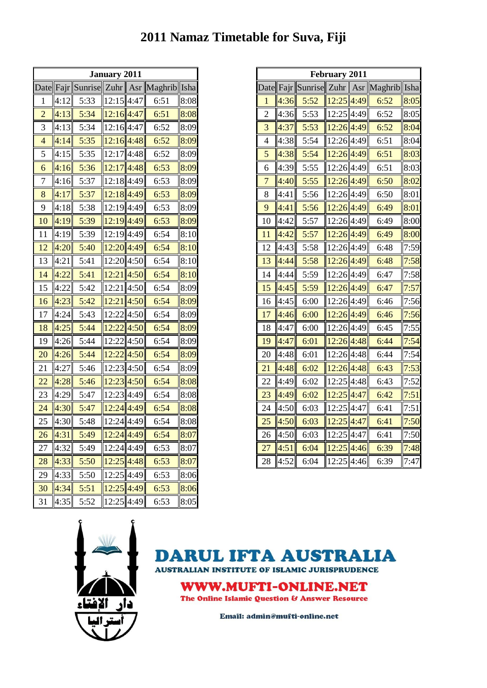|                | <b>January 2011</b> |         |                         |      |         |      |  |  |
|----------------|---------------------|---------|-------------------------|------|---------|------|--|--|
| Date           | Fajr                | Sunrise | Zuhr                    | Asr  | Maghrib | Isha |  |  |
| 1              | 4:12                | 5:33    | 12:15                   | 4:47 | 6:51    | 8:08 |  |  |
| $\overline{2}$ | 4:13                | 5:34    | $12:16$ 4:47            |      | 6:51    | 8:08 |  |  |
| 3              | 4:13                | 5:34    | 12:16                   | 4:47 | 6:52    | 8:09 |  |  |
| 4              | 4:14                | 5:35    | $12:16$ <sup>4:48</sup> |      | 6:52    | 8:09 |  |  |
| 5              | 4:15                | 5:35    | 12:17 4:48              |      | 6:52    | 8:09 |  |  |
| 6              | 4:16                | 5:36    | $12:17$ 4:48            |      | 6:53    | 8:09 |  |  |
| 7              | 4:16                | 5:37    | 12:18                   | 4:49 | 6:53    | 8:09 |  |  |
| 8              | 4:17                | 5:37    | $12:18$ 4:49            |      | 6:53    | 8:09 |  |  |
| 9              | 4:18                | 5:38    | 12:19 4:49              |      | 6:53    | 8:09 |  |  |
| 10             | 4:19                | 5:39    | 12:19                   | 4:49 | 6:53    | 8:09 |  |  |
| 11             | 4:19                | 5:39    | 12:19                   | 4:49 | 6:54    | 8:10 |  |  |
| 12             | 4:20                | 5:40    | 12:20 4:49              |      | 6:54    | 8:10 |  |  |
| 13             | 4:21                | 5:41    | 12:20 4:50              |      | 6:54    | 8:10 |  |  |
| 14             | 4:22                | 5:41    | 12:21                   | 4:50 | 6:54    | 8:10 |  |  |
| 15             | 4:22                | 5:42    | 12:21                   | 4:50 | 6:54    | 8:09 |  |  |
| 16             | 4:23                | 5:42    | 12:21                   | 4:50 | 6:54    | 8:09 |  |  |
| 17             | 4:24                | 5:43    | 12:22                   | 4:50 | 6:54    | 8:09 |  |  |
| 18             | 4:25                | 5:44    | 12:22                   | 4:50 | 6:54    | 8:09 |  |  |
| 19             | 4:26                | 5:44    | 12:22                   | 4:50 | 6:54    | 8:09 |  |  |
| 20             | 4:26                | 5:44    | 12:22                   | 4:50 | 6:54    | 8:09 |  |  |
| 21             | 4:27                | 5:46    | 12:23                   | 4:50 | 6:54    | 8:09 |  |  |
| 22             | 4:28                | 5:46    | 12:23                   | 4:50 | 6:54    | 8:08 |  |  |
| 23             | 4:29                | 5:47    | 12:23                   | 4:49 | 6:54    | 8:08 |  |  |
| 24             | 4:30                | 5:47    | 12:24                   | 4:49 | 6:54    | 8:08 |  |  |
| 25             | 4:30                | 5:48    | 12:24                   | 4:49 | 6:54    | 8:08 |  |  |
| 26             | 4:31                | 5:49    | $12:24$ 4:49            |      | 6:54    | 8:07 |  |  |
| 27             | 4:32                | 5:49    | 12:24 4:49              |      | 6:53    | 8:07 |  |  |
| 28             | 4:33                | 5:50    | $12:25$ 4:48            |      | 6:53    | 8:07 |  |  |
| 29             | 4:33                | 5:50    | 12:25                   | 4:49 | 6:53    | 8:06 |  |  |
| 30             | 4:34                | 5:51    | 12:25                   | 4:49 | 6:53    | 8:06 |  |  |
| 31             | 4:35                | 5:52    | $12:25$   4:49          |      | 6:53    | 8:05 |  |  |

| <b>February 2011</b> |      |         |              |      |         |      |  |
|----------------------|------|---------|--------------|------|---------|------|--|
| Date                 | Fajr | Sunrise | Zuhr         | Asr  | Maghrib | Isha |  |
| 1                    | 4:36 | 5:52    | 12:25        | 4:49 | 6:52    | 8:05 |  |
| $\overline{2}$       | 4:36 | 5:53    | 12:25 4:49   |      | 6:52    | 8:05 |  |
| 3                    | 4:37 | 5:53    | $12:26$ 4:49 |      | 6:52    | 8:04 |  |
| $\overline{4}$       | 4:38 | 5:54    | 12:26        | 4:49 | 6:51    | 8:04 |  |
| 5                    | 4:38 | 5:54    | 12:26 4:49   |      | 6:51    | 8:03 |  |
| 6                    | 4:39 | 5:55    | 12:26 4:49   |      | 6:51    | 8:03 |  |
| 7                    | 4:40 | 5:55    | 12:26 4:49   |      | 6:50    | 8:02 |  |
| 8                    | 4:41 | 5:56    | 12:26        | 4:49 | 6:50    | 8:01 |  |
| 9                    | 4:41 | 5:56    | $12:26$ 4:49 |      | 6:49    | 8:01 |  |
| 10                   | 4:42 | 5:57    | 12:26        | 4:49 | 6:49    | 8:00 |  |
| 11                   | 4:42 | 5:57    | 12:26        | 4:49 | 6:49    | 8:00 |  |
| 12                   | 4:43 | 5:58    | 12:26        | 4:49 | 6:48    | 7:59 |  |
| 13                   | 4:44 | 5:58    | 12:26        | 4:49 | 6:48    | 7:58 |  |
| 14                   | 4:44 | 5:59    | 12:26        | 4:49 | 6:47    | 7:58 |  |
| 15                   | 4:45 | 5:59    | 12:26 4:49   |      | 6:47    | 7:57 |  |
| 16                   | 4:45 | 6:00    | 12:26        | 4:49 | 6:46    | 7:56 |  |
| 17                   | 4:46 | 6:00    | 12:26 4:49   |      | 6:46    | 7:56 |  |
| 18                   | 4:47 | 6:00    | 12:26 4:49   |      | 6:45    | 7:55 |  |
| 19                   | 4:47 | 6:01    | 12:26        | 4:48 | 6:44    | 7:54 |  |
| 20                   | 4:48 | 6:01    | 12:26 4:48   |      | 6:44    | 7:54 |  |
| 21                   | 4:48 | 6:02    | 12:26        | 4:48 | 6:43    | 7:53 |  |
| 22                   | 4:49 | 6:02    | 12:25        | 4:48 | 6:43    | 7:52 |  |
| 23                   | 4:49 | 6:02    | 12:25        | 4:47 | 6:42    | 7:51 |  |
| 24                   | 4:50 | 6:03    | 12:25        | 4:47 | 6:41    | 7:51 |  |
| 25                   | 4:50 | 6:03    | 12:25        | 4:47 | 6:41    | 7:50 |  |
| 26                   | 4:50 | 6:03    | 12:25        | 4:47 | 6:41    | 7:50 |  |
| 27                   | 4:51 | 6:04    | 12:25        | 4:46 | 6:39    | 7:48 |  |
| 28                   | 4:52 | 6:04    | 12:25        | 4:46 | 6:39    | 7:47 |  |



**TA AUSTRALIA** DA R m m

**AUSTRALIAN INSTITUTE OF ISLAMIC JURISPRUDENCE** 

**WWW.MUFTI-ONLINE.NET** 

The Online Islamic Question & Answer Resource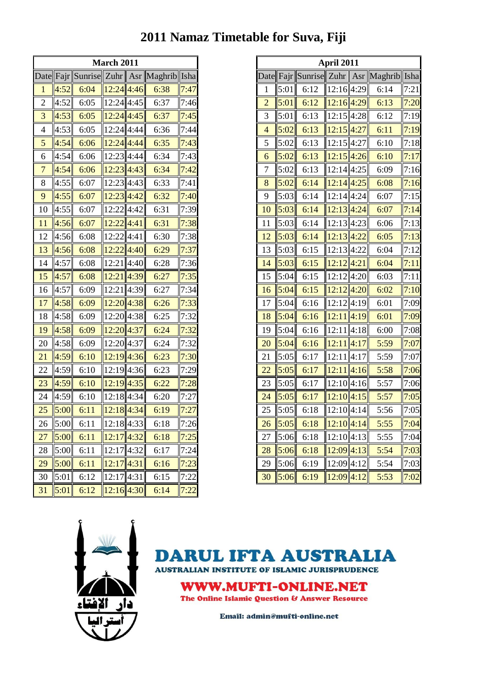| <b>March 2011</b> |      |              |               |      |         |      |  |
|-------------------|------|--------------|---------------|------|---------|------|--|
| Date              |      | Fajr Sunrise | Zuhr Asr      |      | Maghrib | Isha |  |
| 1                 | 4:52 | 6:04         | $12:24$ 4:46  |      | 6:38    | 7:47 |  |
| $\overline{2}$    | 4:52 | 6:05         | $12:24$ 4:45  |      | 6:37    | 7:46 |  |
| 3                 | 4:53 | 6:05         | $12:24$ 4:45  |      | 6:37    | 7:45 |  |
| 4                 | 4:53 | 6:05         | 12:24 4:44    |      | 6:36    | 7:44 |  |
| 5                 | 4:54 | 6:06         | $12:24$ 4:44  |      | 6:35    | 7:43 |  |
| 6                 | 4:54 | 6:06         | 12:23 4:44    |      | 6:34    | 7:43 |  |
| 7                 | 4:54 | 6:06         | $12:23$ 4:43  |      | 6:34    | 7:42 |  |
| 8                 | 4:55 | 6:07         | 12:23 4:43    |      | 6:33    | 7:41 |  |
| 9                 | 4:55 | 6:07         | $12:23$ 4:42  |      | 6:32    | 7:40 |  |
| 10                | 4:55 | 6:07         | 12:22 4:42    |      | 6:31    | 7:39 |  |
| 11                | 4:56 | 6:07         | $12:22$ 4:41  |      | 6:31    | 7:38 |  |
| 12                | 4:56 | 6:08         | 12:22         | 4:41 | 6:30    | 7:38 |  |
| 13                | 4:56 | 6:08         | $12:22$ 4:40  |      | 6:29    | 7:37 |  |
| 14                | 4:57 | 6:08         | 12:21 4:40    |      | 6:28    | 7:36 |  |
| 15                | 4:57 | 6:08         | $12:21$ 4:39  |      | 6:27    | 7:35 |  |
| 16                | 4:57 | 6:09         | 12:21 4:39    |      | 6:27    | 7:34 |  |
| 17                | 4:58 | 6:09         | $12:20$ 4:38  |      | 6:26    | 7:33 |  |
| 18                | 4:58 | 6:09         | 12:20 4:38    |      | 6:25    | 7:32 |  |
| 19                | 4:58 | 6:09         | $12:20$ 4:37  |      | 6:24    | 7:32 |  |
| 20                | 4:58 | 6:09         | 12:20 4:37    |      | 6:24    | 7:32 |  |
| 21                | 4:59 | 6:10         | $12:19$ 4:36  |      | 6:23    | 7:30 |  |
| 22                | 4:59 | 6:10         | 12:19 4:36    |      | 6:23    | 7:29 |  |
| 23                | 4:59 | 6:10         | $12:19$ 4:35  |      | 6:22    | 7:28 |  |
| 24                | 4:59 | 6:10         | 12:18 4:34    |      | 6:20    | 7:27 |  |
| 25                | 5:00 | 6:11         | $12:18$ 4:34  |      | 6:19    | 7:27 |  |
| 26                | 5:00 | 6:11         | $12:18$ 4:33  |      | 6:18    | 1:26 |  |
| 27                | 5:00 | 6:11         | $12:17$ 4:32  |      | 6:18    | 7:25 |  |
| 28                | 5:00 | 6:11         | 12:17 4:32    |      | 6:17    | 7:24 |  |
| 29                | 5:00 | 6:11         | $12:17$  4:31 |      | 6:16    | 7:23 |  |
| 30                | 5:01 | 6:12         | 12:17 4:31    |      | 6:15    | 7:22 |  |
| 31                | 5:01 | 6:12         | 12:16         | 4:30 | 6:14    | 7:22 |  |

|                |      |         | April 2011   |      |         |      |
|----------------|------|---------|--------------|------|---------|------|
| Date           | Fajr | Sunrise | Zuhr         | Asr  | Maghrib | Isha |
| 1              | 5:01 | 6:12    | 12:16 4:29   |      | 6:14    | 7:21 |
| $\overline{2}$ | 5:01 | 6:12    | 12:16        | 4:29 | 6:13    | 7:20 |
| 3              | 5:01 | 6:13    | 12:15        | 4:28 | 6:12    | 7:19 |
| $\overline{4}$ | 5:02 | 6:13    | 12:15        | 4:27 | 6:11    | 7:19 |
| 5              | 5:02 | 6:13    | 12:15 4:27   |      | 6:10    | 7:18 |
| 6              | 5:02 | 6:13    | $12:15$ 4:26 |      | 6:10    | 7:17 |
| 7              | 5:02 | 6:13    | 12:14 4:25   |      | 6:09    | 7:16 |
| 8              | 5:02 | 6:14    | $12:14$ 4:25 |      | 6:08    | 7:16 |
| 9              | 5:03 | 6:14    | 12:14        | 4:24 | 6:07    | 7:15 |
| 10             | 5:03 | 6:14    | 12:13        | 4:24 | 6:07    | 7:14 |
| 11             | 5:03 | 6:14    | 12:13        | 4:23 | 6:06    | 7:13 |
| 12             | 5:03 | 6:14    | $12:13$ 4:22 |      | 6:05    | 7:13 |
| 13             | 5:03 | 6:15    | 12:13        | 4:22 | 6:04    | 7:12 |
| 14             | 5:03 | 6:15    | 12:12        | 4:21 | 6:04    | 7:11 |
| 15             | 5:04 | 6:15    | 12:12        | 4:20 | 6:03    | 7:11 |
| 16             | 5:04 | 6:15    | 12:12        | 4:20 | 6:02    | 7:10 |
| 17             | 5:04 | 6:16    | 12:12        | 4:19 | 6:01    | 7:09 |
| 18             | 5:04 | 6:16    | 12:11        | 4:19 | 6:01    | 7:09 |
| 19             | 5:04 | 6:16    | 12:11        | 4:18 | 6:00    | 7:08 |
| 20             | 5:04 | 6:16    | 12:11        | 4:17 | 5:59    | 7:07 |
| 21             | 5:05 | 6:17    | 12:11        | 4:17 | 5:59    | 7:07 |
| 22             | 5:05 | 6:17    | 12:11        | 4:16 | 5:58    | 7:06 |
| 23             | 5:05 | 6:17    | $12:10$ 4:16 |      | 5:57    | 7:06 |
| 24             | 5:05 | 6:17    | 12:10        | 4:15 | 5:57    | 7:05 |
| 25             | 5:05 | 6:18    | 12:10        | 4:14 | 5:56    | 7:05 |
| 26             | 5:05 | 6:18    | 12:10[4:14]  |      | 5:55    | 7:04 |
| 27             | 5:06 | 6:18    | $12:10$ 4:13 |      | 5:55    | 7:04 |
| 28             | 5:06 | 6:18    | 12:09        | 4:13 | 5:54    | 7:03 |
| 29             | 5:06 | 6:19    | 12:09        | 4:12 | 5:54    | 7:03 |
| 30             | 5:06 | 6:19    | 12:09        | 4:12 | 5:53    | 7:02 |



**TA AUSTRALIA** DA m

**AUSTRALIAN INSTITUTE OF ISLAMIC JURISPRUDENCE** 

**WWW.MUFTI-ONLINE.NET** 

The Online Islamic Question & Answer Resource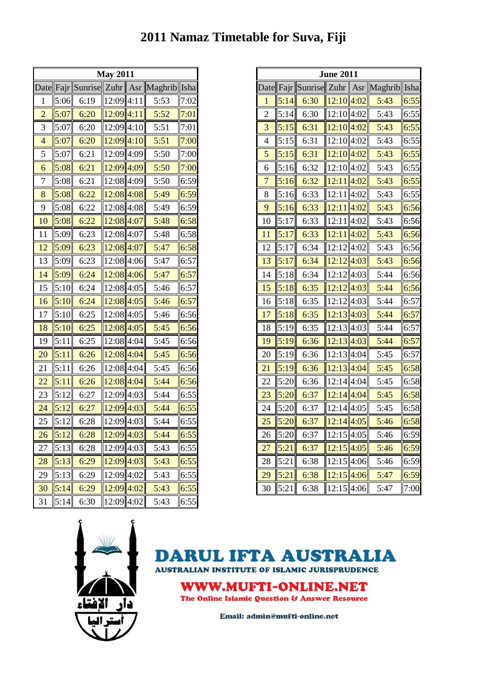| <b>May 2011</b> |      |         |              |      |         |      |  |  |
|-----------------|------|---------|--------------|------|---------|------|--|--|
| Date            | Fajr | Sunrise | Zuhr         | Asr  | Maghrib | Isha |  |  |
| 1               | 5:06 | 6:19    | 12:09        | 4:11 | 5:53    | 7:02 |  |  |
| $\overline{2}$  | 5:07 | 6:20    | $12:09$ 4:11 |      | 5:52    | 7:01 |  |  |
| 3               | 5:07 | 6:20    | 12:09        | 4:10 | 5:51    | 7:01 |  |  |
| $\overline{4}$  | 5:07 | 6:20    | $12:09$ 4:10 |      | 5:51    | 7:00 |  |  |
| 5               | 5:07 | 6:21    | 12:09 4:09   |      | 5:50    | 7:00 |  |  |
| 6               | 5:08 | 6:21    | 12:09        | 4:09 | 5:50    | 7:00 |  |  |
| 7               | 5:08 | 6:21    | 12:08        | 4:09 | 5:50    | 6:59 |  |  |
| 8               | 5:08 | 6:22    | $12:08$ 4:08 |      | 5:49    | 6:59 |  |  |
| 9               | 5:08 | 6:22    | 12:08        | 4:08 | 5:49    | 6:59 |  |  |
| 10              | 5:08 | 6:22    | 12:08        | 4:07 | 5:48    | 6:58 |  |  |
| 11              | 5:09 | 6:23    | 12:08        | 4:07 | 5:48    | 6:58 |  |  |
| 12              | 5:09 | 6:23    | 12:08        | 4:07 | 5:47    | 6:58 |  |  |
| 13              | 5:09 | 6:23    | 12:08        | 4:06 | 5:47    | 6:57 |  |  |
| 14              | 5:09 | 6:24    | 12:08        | 4:06 | 5:47    | 6:57 |  |  |
| 15              | 5:10 | 6:24    | 12:08        | 4:05 | 5:46    | 6:57 |  |  |
| 16              | 5:10 | 6:24    | 12:08        | 4:05 | 5:46    | 6:57 |  |  |
| 17              | 5:10 | 6:25    | 12:08        | 4:05 | 5:46    | 6:56 |  |  |
| 18              | 5:10 | 6:25    | 12:08        | 4:05 | 5:45    | 6:56 |  |  |
| 19              | 5:11 | 6:25    | 12:08        | 4:04 | 5:45    | 6:56 |  |  |
| 20              | 5:11 | 6:26    | 12:08        | 4:04 | 5:45    | 6:56 |  |  |
| 21              | 5:11 | 6:26    | 12:08        | 4:04 | 5:45    | 6:56 |  |  |
| 22              | 5:11 | 6:26    | 12:08        | 4:04 | 5:44    | 6:56 |  |  |
| 23              | 5:12 | 6:27    | 12:09 4:03   |      | 5:44    | 6:55 |  |  |
| 24              | 5:12 | 6:27    | 12:09        | 4:03 | 5:44    | 6:55 |  |  |
| 25              | 5:12 | 6:28    | 12:09        | 4:03 | 5:44    | 6:55 |  |  |
| 26              | 5:12 | 6:28    | 12:09 4:03   |      | 5:44    | 6:55 |  |  |
| 27              | 5:13 | 6:28    | 12:09 4:03   |      | 5:43    | 6:55 |  |  |
| 28              | 5:13 | 6:29    | $12:09$ 4:03 |      | 5:43    | 6:55 |  |  |
| 29              | 5:13 | 6:29    | 12:09        | 4:02 | 5:43    | 6:55 |  |  |
| 30              | 5:14 | 6:29    | $12:09$ 4:02 |      | 5:43    | 6:55 |  |  |
| 31              | 5:14 | 6:30    | 12:09 4:02   |      | 5:43    | 6:55 |  |  |

|                | <b>June 2011</b> |              |                |      |         |      |  |  |
|----------------|------------------|--------------|----------------|------|---------|------|--|--|
| Date           |                  | Fajr Sunrise | Zuhr           | Asr  | Maghrib | Isha |  |  |
| 1              | 5:14             | 6:30         | 12:10          | 4:02 | 5:43    | 6:55 |  |  |
| $\overline{2}$ | 5:14             | 6:30         | 12:10          | 4:02 | 5:43    | 6:55 |  |  |
| 3              | 5:15             | 6:31         | 12:10          | 4:02 | 5:43    | 6:55 |  |  |
| 4              | 5:15             | 6:31         | 12:10[4:02]    |      | 5:43    | 6:55 |  |  |
| 5              | 5:15             | 6:31         | 12:10          | 4:02 | 5:43    | 6:55 |  |  |
| 6              | 5:16             | 6:32         | 12:10          | 4:02 | 5:43    | 6:55 |  |  |
| 7              | 5:16             | 6:32         | 12:11          | 4:02 | 5:43    | 6:55 |  |  |
| 8              | 5:16             | 6:33         | 12:11          | 4:02 | 5:43    | 6:55 |  |  |
| 9              | 5:16             | 6:33         | 12:11          | 4:02 | 5:43    | 6:56 |  |  |
| 10             | 5:17             | 6:33         | 12:11          | 4:02 | 5:43    | 6:56 |  |  |
| 11             | 5:17             | 6:33         | 12:11          | 4:02 | 5:43    | 6:56 |  |  |
| 12             | 5:17             | 6:34         | 12:12          | 4:02 | 5:43    | 6:56 |  |  |
| 13             | 5:17             | 6:34         | 12:12          | 4:03 | 5:43    | 6:56 |  |  |
| 14             | 5:18             | 6:34         | 12:12          | 4:03 | 5:44    | 6:56 |  |  |
| 15             | 5:18             | 6:35         | 12:12          | 4:03 | 5:44    | 6:56 |  |  |
| 16             | 5:18             | 6:35         | 12:12          | 4:03 | 5:44    | 6:57 |  |  |
| 17             | 5:18             | 6:35         | 12:13          | 4:03 | 5:44    | 6:57 |  |  |
| 18             | 5:19             | 6:35         | 12:13          | 4:03 | 5:44    | 6:57 |  |  |
| 19             | 5:19             | 6:36         | 12:13          | 4:03 | 5:44    | 6:57 |  |  |
| 20             | 5:19             | 6:36         | 12:13          | 4:04 | 5:45    | 6:57 |  |  |
| 21             | 5:19             | 6:36         | 12:13          | 4:04 | 5:45    | 6:58 |  |  |
| 22             | 5:20             | 6:36         | $12:14$ 4:04   |      | 5:45    | 6:58 |  |  |
| 23             | 5:20             | 6:37         | $12:14$ 4:04   |      | 5:45    | 6:58 |  |  |
| 24             | 5:20             | 6:37         | 12:14          | 4:05 | 5:45    | 6:58 |  |  |
| 25             | 5:20             | 6:37         | 12:14          | 4:05 | 5:46    | 6:58 |  |  |
| 26             | 5:20             | 6:37         | $12:15$   4:05 |      | 5:46    | 6:59 |  |  |
| <b>27</b>      | 5:21             | 6:37         | 12:15          | 4:05 | 5:46    | 6:59 |  |  |
| 28             | 5:21             | 6:38         | 12:15          | 4:06 | 5:46    | 6:59 |  |  |
| 29             | <u>5:21</u>      | 6:38         | 12:15          | 4:06 | 5:47    | 6:59 |  |  |
| 30             | 5:21             | 6:38         | $12:15$ 4:06   |      | 5:47    | 7:00 |  |  |



**TA AUSTRALIA** DA R m m

**AUSTRALIAN INSTITUTE OF ISLAMIC JURISPRUDENCE** 

**WWW.MUFTI-ONLINE.NET** 

The Online Islamic Question & Answer Resource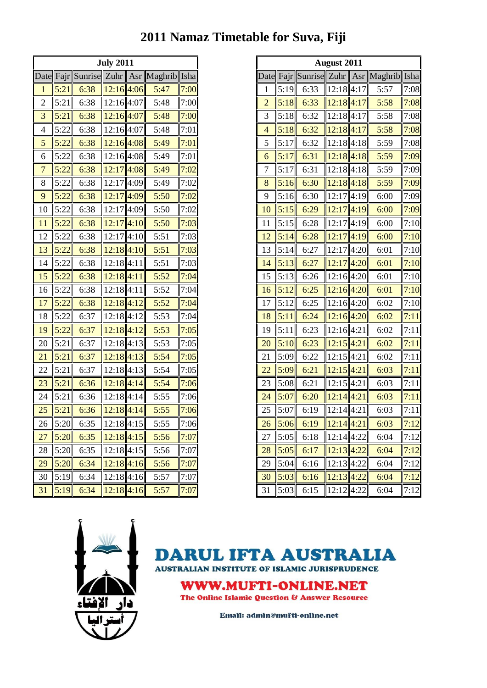| <b>July 2011</b> |             |              |                |  |                      |      |  |
|------------------|-------------|--------------|----------------|--|----------------------|------|--|
| Date             |             | Fajr Sunrise |                |  | Zuhr   Asr   Maghrib | Isha |  |
| 1                | 5:21        | 6:38         | $12:16$ 4:06   |  | 5:47                 | 7:00 |  |
| $\overline{2}$   | 5:21        | 6:38         | 12:16 4:07     |  | 5:48                 | 7:00 |  |
| 3                | <u>5:21</u> | 6:38         | 12:16 4:07     |  | 5:48                 | 7:00 |  |
| 4                | 5:22        | 6:38         | 12:16 4:07     |  | 5:48                 | 7:01 |  |
| 5                | 5:22        | 6:38         | $12:16$ 4:08   |  | 5:49                 | 7:01 |  |
| 6                | 5:22        | 6:38         | $12:16$ 4:08   |  | 5:49                 | 7:01 |  |
| 7                | <u>5:22</u> | 6:38         | $12:17$ 4:08   |  | 5:49                 | 7:02 |  |
| 8                | 5:22        | 6:38         | 12:17 4:09     |  | 5:49                 | 7:02 |  |
| 9                | 5:22        | 6:38         | $12:17$ 4:09   |  | 5:50                 | 7:02 |  |
| 10               | 5:22        | 6:38         | 12:17 4:09     |  | 5:50                 | 7:02 |  |
| 11               | <u>5:22</u> | 6:38         | $12:17$ 4:10   |  | 5:50                 | 7:03 |  |
| 12               | 5:22        | 6:38         | 12:17 4:10     |  | 5:51                 | 7:03 |  |
| 13               | 5:22        | 6:38         | $12:18$ 4:10   |  | 5:51                 | 7:03 |  |
| 14               | 5:22        | 6:38         | 12:18[4:11]    |  | 5:51                 | 7:03 |  |
| 15               | 5:22        | 6:38         | $12:18$ 4:11   |  | 5:52                 | 7:04 |  |
| 16               | 5:22        | 6:38         | $12:18$ 4:11   |  | 5:52                 | 7:04 |  |
| 17               | 5:22        | 6:38         | $12:18$ 4:12   |  | 5:52                 | 7:04 |  |
| 18               | 5:22        | 6:37         | 12:18 4:12     |  | 5:53                 | 7:04 |  |
| 19               | 5:22        | 6:37         | $12:18$ 4:12   |  | 5:53                 | 7:05 |  |
| 20               | 5:21        | 6:37         | $12:18$ 4:13   |  | 5:53                 | 7:05 |  |
| 21               | 5:21        | 6:37         | $12:18$ 4:13   |  | 5:54                 | 7:05 |  |
| 22               | 5:21        | 6:37         | $12:18$ 4:13   |  | 5:54                 | 7:05 |  |
| 23               | 5:21        | 6:36         | $12:18$ 4:14   |  | 5:54                 | 7:06 |  |
| 24               | 5:21        | 6:36         | $12:18$ 4:14   |  | 5:55                 | 7:06 |  |
| 25               | <u>5:21</u> | 6:36         | $12:18$ 4:14   |  | 5:55                 | 7:06 |  |
| 26               | 5:20        | 6:35         | $12:18$ 4:15   |  | 5:55                 | 7:06 |  |
| 27               | 5:20        | 6:35         | 12:18[4:15]    |  | 5:56                 | 7:07 |  |
| 28               | 5:20        | 6:35         | $12:18$ 4:15   |  | 5:56                 | 7:07 |  |
| 29               | 5:20        | 6:34         | $12:18$   4:16 |  | 5:56                 | 7:07 |  |
| 30               | 5:19        | 6:34         | $12:18$ 4:16   |  | 5:57                 | 7:07 |  |
| 31               | 5:19        | 6:34         | $12:18$ 4:16   |  | 5:57                 | 7:07 |  |

| <b>August 2011</b> |      |         |                         |      |         |      |  |  |
|--------------------|------|---------|-------------------------|------|---------|------|--|--|
| Date               | Fajr | Sunrise | Zuhr                    | Asr  | Maghrib | Isha |  |  |
| 1                  | 5:19 | 6:33    | 12:18                   | 4:17 | 5:57    | 7:08 |  |  |
| $\overline{2}$     | 5:18 | 6:33    | $12:18$ 4:17            |      | 5:58    | 7:08 |  |  |
| 3                  | 5:18 | 6:32    | 12:18                   | 4:17 | 5:58    | 7:08 |  |  |
| 4                  | 5:18 | 6:32    | 12:18                   | 4:17 | 5:58    |      |  |  |
| 5                  | 5:17 | 6:32    | 12:18 4:18              |      |         | 7:08 |  |  |
|                    |      |         |                         |      | 5:59    | 7:08 |  |  |
| 6                  | 5:17 | 6:31    | $12:18$ 4:18            |      | 5:59    | 7:09 |  |  |
| 7                  | 5:17 | 6:31    | $12:18$ 4:18            |      | 5:59    | 7:09 |  |  |
| 8                  | 5:16 | 6:30    | $12:18$ 4:18            |      | 5:59    | 7:09 |  |  |
| 9                  | 5:16 | 6:30    | 12:17                   | 4:19 | 6:00    | 7:09 |  |  |
| 10                 | 5:15 | 6:29    | 12:17                   | 4:19 | 6:00    | 7:09 |  |  |
| 11                 | 5:15 | 6:28    | 12:17                   | 4:19 | 6:00    | 7:10 |  |  |
| 12                 | 5:14 | 6:28    | $12:17$ 4:19            |      | 6:00    | 7:10 |  |  |
| 13                 | 5:14 | 6:27    | 12:17                   | 4:20 | 6:01    | 7:10 |  |  |
| 14                 | 5:13 | 6:27    | 12:17                   | 4:20 | 6:01    | 7:10 |  |  |
| 15                 | 5:13 | 6:26    | 12:16                   | 4:20 | 6:01    | 7:10 |  |  |
| 16                 | 5:12 | 6:25    | $12:16$ <sup>4:20</sup> |      | 6:01    | 7:10 |  |  |
| 17                 | 5:12 | 6:25    | 12:16 4:20              |      | 6:02    | 7:10 |  |  |
| 18                 | 5:11 | 6:24    | $12:16$ 4:20            |      | 6:02    | 7:11 |  |  |
| 19                 | 5:11 | 6:23    | 12:16                   | 4:21 | 6:02    | 7:11 |  |  |
| 20                 | 5:10 | 6:23    | $12:15$  4:21           |      | 6:02    | 7:11 |  |  |
| 21                 | 5:09 | 6:22    | 12:15                   | 4:21 | 6:02    | 7:11 |  |  |
| 22                 | 5:09 | 6:21    | 12:15                   | 4:21 | 6:03    | 7:11 |  |  |
| 23                 | 5:08 | 6:21    | $12:15$ 4:21            |      | 6:03    | 7:11 |  |  |
| 24                 | 5:07 | 6:20    | 12:14                   | 4:21 | 6:03    | 7:11 |  |  |
| 25                 | 5:07 | 6:19    | 12:14                   | 4:21 | 6:03    | 7:11 |  |  |
| <u>26</u>          | 5:06 | 6:19    | $12:14$ 4:21            |      | 6:03    | 7:12 |  |  |
| 27                 | 5:05 | 6:18    | 12:14                   | 4:22 | 6:04    | 7:12 |  |  |
| 28                 | 5:05 | 6:17    | 12:13                   | 4:22 | 6:04    | 7:12 |  |  |
| 29                 | 5:04 | 6:16    | 12:13                   | 4:22 | 6:04    | 7:12 |  |  |
| 30                 | 5:03 | 6:16    | 12:13                   | 4:22 | 6:04    | 7:12 |  |  |
| 31                 | 5:03 | 6:15    | 12:12                   | 4:22 | 6:04    | 7:12 |  |  |



#### **A AUSTRALIA** DAI R

**AUSTRALIAN INSTITUTE OF ISLAMIC JURISPRUDENCE** 

#### **WWW.MUFTI-ONLINE.NET**

The Online Islamic Question & Answer Resource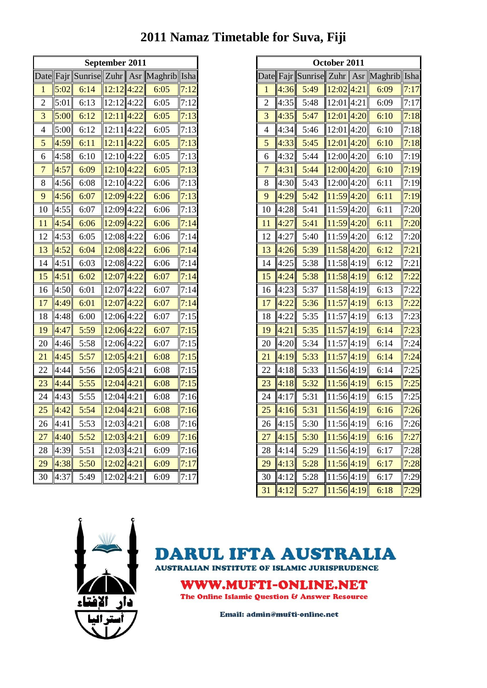| September 2011 |      |              |       |      |         |      |  |  |
|----------------|------|--------------|-------|------|---------|------|--|--|
| Date           |      | Fajr Sunrise | Zuhr  | Asr  | Maghrib | Isha |  |  |
| 1              | 5:02 | 6:14         | 12:12 | 4:22 | 6:05    | 7:12 |  |  |
| 2              | 5:01 | 6:13         | 12:12 | 4:22 | 6:05    | 7:12 |  |  |
| 3              | 5:00 | 6:12         | 12:11 | 4:22 | 6:05    | 7:13 |  |  |
| $\overline{4}$ | 5:00 | 6:12         | 12:11 | 4:22 | 6:05    | 7:13 |  |  |
| 5              | 4:59 | 6:11         | 12:11 | 4:22 | 6:05    | 7:13 |  |  |
| 6              | 4:58 | 6:10         | 12:10 | 4:22 | 6:05    | 7:13 |  |  |
| 7              | 4:57 | 6:09         | 12:10 | 4:22 | 6:05    | 7:13 |  |  |
| 8              | 4:56 | 6:08         | 12:10 | 4:22 | 6:06    | 7:13 |  |  |
| 9              | 4:56 | 6:07         | 12:09 | 4:22 | 6:06    | 7:13 |  |  |
| 10             | 4:55 | 6:07         | 12:09 | 4:22 | 6:06    | 7:13 |  |  |
| 11             | 4:54 | 6:06         | 12:09 | 4:22 | 6:06    | 7:14 |  |  |
| 12             | 4:53 | 6:05         | 12:08 | 4:22 | 6:06    | 7:14 |  |  |
| 13             | 4:52 | 6:04         | 12:08 | 4:22 | 6:06    | 7:14 |  |  |
| 14             | 4:51 | 6:03         | 12:08 | 4:22 | 6:06    | 7:14 |  |  |
| 15             | 4:51 | 6:02         | 12:07 | 4:22 | 6:07    | 7:14 |  |  |
| 16             | 4:50 | 6:01         | 12:07 | 4:22 | 6:07    | 7:14 |  |  |
| 17             | 4:49 | 6:01         | 12:07 | 4:22 | 6:07    | 7:14 |  |  |
| 18             | 4:48 | 6:00         | 12:06 | 4:22 | 6:07    | 7:15 |  |  |
| 19             | 4:47 | 5:59         | 12:06 | 4:22 | 6:07    | 7:15 |  |  |
| 20             | 4:46 | 5:58         | 12:06 | 4:22 | 6:07    | 7:15 |  |  |
| 21             | 4:45 | 5:57         | 12:05 | 4:21 | 6:08    | 7:15 |  |  |
| 22             | 4:44 | 5:56         | 12:05 | 4:21 | 6:08    | 7:15 |  |  |
| 23             | 4:44 | 5:55         | 12:04 | 4:21 | 6:08    | 7:15 |  |  |
| 24             | 4:43 | 5:55         | 12:04 | 4:21 | 6:08    | 7:16 |  |  |
| 25             | 4:42 | 5:54         | 12:04 | 4:21 | 6:08    | 7:16 |  |  |
| 26             | 4:41 | 5:53         | 12:03 | 4:21 | 6:08    | 7:16 |  |  |
| 27             | 4:40 | 5:52         | 12:03 | 4:21 | 6:09    | 7:16 |  |  |
| 28             | 4:39 | 5:51         | 12:03 | 4:21 | 6:09    | 7:16 |  |  |
| 29             | 4:38 | 5:50         | 12:02 | 4:21 | 6:09    | 7:17 |  |  |
| 30             | 4:37 | 5:49         | 12:02 | 4:21 | 6:09    | 7:17 |  |  |

| October 2011 |      |              |                         |      |         |      |  |
|--------------|------|--------------|-------------------------|------|---------|------|--|
| Date         |      | Fajr Sunrise | Zuhr                    | Asr  | Maghrib | Isha |  |
| 1            | 4:36 | 5:49         | $12:02$ 4:21            |      | 6:09    | 7:17 |  |
| 2            | 4:35 | 5:48         | $12:01$  4:21           |      | 6:09    | 7:17 |  |
| 3            | 4:35 | 5:47         | 12:01 4:20              |      | 6:10    | 7:18 |  |
| 4            | 4:34 | 5:46         | 12:01 4:20              |      | 6:10    | 7:18 |  |
| 5            | 4:33 | 5:45         | 12:01                   | 4:20 | 6:10    | 7:18 |  |
| 6            | 4:32 | 5:44         | 12:00 4:20              |      | 6:10    | 7:19 |  |
| 7            | 4:31 | 5:44         | 12:00 4:20              |      | 6:10    | 7:19 |  |
| 8            | 4:30 | 5:43         | 12:00                   | 4:20 | 6:11    | 7:19 |  |
| 9            | 4:29 | 5:42         | 11:59                   | 4:20 | 6:11    | 7:19 |  |
| 10           | 4:28 | 5:41         | 11:59                   | 4:20 | 6:11    | 7:20 |  |
| 11           | 4:27 | 5:41         | 11:59 4:20              |      | 6:11    | 7:20 |  |
| 12           | 4:27 | 5:40         | 11:59 4:20              |      | 6:12    | 7:20 |  |
| 13           | 4:26 | 5:39         | 11:58 4:20              |      | 6:12    | 7:21 |  |
| 14           | 4:25 | 5:38         | 11:58 4:19              |      | 6:12    | 7:21 |  |
| 15           | 4:24 | 5:38         | 11:58 4:19              |      | 6:12    | 7:22 |  |
| 16           | 4:23 | 5:37         | 11:58 4:19              |      | 6:13    | 7:22 |  |
| 17           | 4:22 | 5:36         | 11:57 4:19              |      | 6:13    | 7:22 |  |
| 18           | 4:22 | 5:35         | 11:57 4:19              |      | 6:13    | 7:23 |  |
| 19           | 4:21 | 5:35         | 11:57                   | 4:19 | 6:14    | 7:23 |  |
| 20           | 4:20 | 5:34         | 11:57                   | 4:19 | 6:14    | 7:24 |  |
| 21           | 4:19 | 5:33         | 11:57                   | 4:19 | 6:14    | 7:24 |  |
| 22           | 4:18 | 5:33         | 11:56 4:19              |      | 6:14    | 7:25 |  |
| 23           | 4:18 | 5:32         | 11:56 4:19              |      | 6:15    | 7:25 |  |
| 24           | 4:17 | 5:31         | 11:56 4:19              |      | 6:15    | 7:25 |  |
| 25           | 4:16 | 5:31         | 11:56                   | 4:19 | 6:16    | 7:26 |  |
| 26           | 4:15 | 5:30         | 11:564:19               |      | 6:16    | 7:26 |  |
| <u>27</u>    | 4:15 | 5:30         | $11:56$ <sup>4:19</sup> |      | 6:16    | 7:27 |  |
| 28           | 4:14 | 5:29         | 11:56 4:19              |      | 6:17    | 7:28 |  |
| 29           | 4:13 | 5:28         | $11:56$  4:19           |      | 6:17    | 7:28 |  |
| 30           | 4:12 | 5:28         | 11:56 4:19              |      | 6:17    | 7:29 |  |
| 31           | 4:12 | 5:27         | $11:56$  4:19           |      | 6:18    | 7:29 |  |



#### **DARUI TA AUSTRALIA 1. 10**

**AUSTRALIAN INSTITUTE OF ISLAMIC JURISPRUDENCE** 

#### **WWW.MUFTI-ONLINE.NET**

The Online Islamic Question & Answer Resource